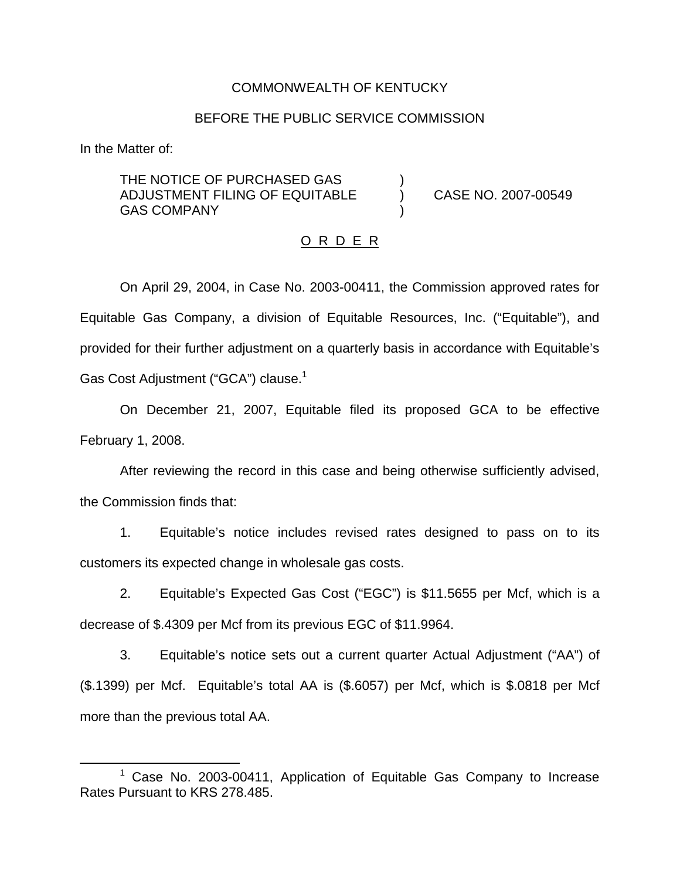### COMMONWEALTH OF KENTUCKY

### BEFORE THE PUBLIC SERVICE COMMISSION

In the Matter of:

THE NOTICE OF PURCHASED GAS ADJUSTMENT FILING OF EQUITABLE ) CASE NO. 2007-00549 **GAS COMPANY** 

#### O R D E R

On April 29, 2004, in Case No. 2003-00411, the Commission approved rates for Equitable Gas Company, a division of Equitable Resources, Inc. ("Equitable"), and provided for their further adjustment on a quarterly basis in accordance with Equitable's Gas Cost Adjustment ("GCA") clause.<sup>1</sup>

On December 21, 2007, Equitable filed its proposed GCA to be effective February 1, 2008.

After reviewing the record in this case and being otherwise sufficiently advised, the Commission finds that:

1. Equitable's notice includes revised rates designed to pass on to its customers its expected change in wholesale gas costs.

2. Equitable's Expected Gas Cost ("EGC") is \$11.5655 per Mcf, which is a decrease of \$.4309 per Mcf from its previous EGC of \$11.9964.

3. Equitable's notice sets out a current quarter Actual Adjustment ("AA") of (\$.1399) per Mcf. Equitable's total AA is (\$.6057) per Mcf, which is \$.0818 per Mcf more than the previous total AA.

 $1$  Case No. 2003-00411, Application of Equitable Gas Company to Increase Rates Pursuant to KRS 278.485.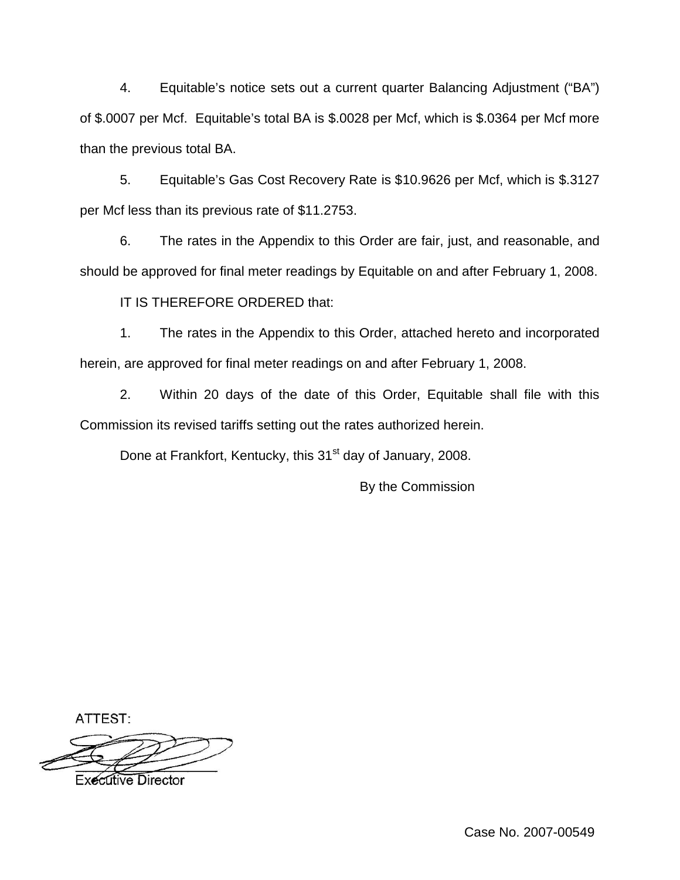4. Equitable's notice sets out a current quarter Balancing Adjustment ("BA") of \$.0007 per Mcf. Equitable's total BA is \$.0028 per Mcf, which is \$.0364 per Mcf more than the previous total BA.

5. Equitable's Gas Cost Recovery Rate is \$10.9626 per Mcf, which is \$.3127 per Mcf less than its previous rate of \$11.2753.

6. The rates in the Appendix to this Order are fair, just, and reasonable, and should be approved for final meter readings by Equitable on and after February 1, 2008.

IT IS THEREFORE ORDERED that:

1. The rates in the Appendix to this Order, attached hereto and incorporated herein, are approved for final meter readings on and after February 1, 2008.

2. Within 20 days of the date of this Order, Equitable shall file with this Commission its revised tariffs setting out the rates authorized herein.

Done at Frankfort, Kentucky, this 31<sup>st</sup> day of January, 2008.

By the Commission

ATTEST:

**Executive Director**